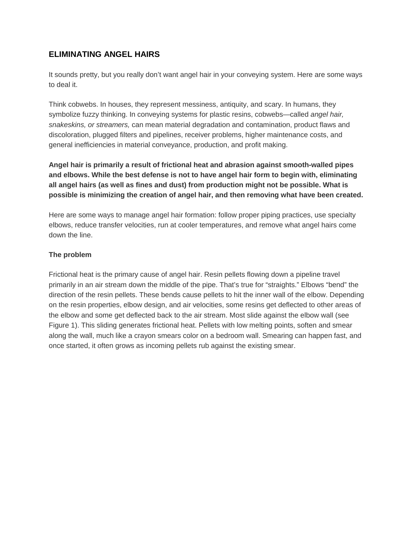# **ELIMINATING ANGEL HAIRS**

It sounds pretty, but you really don't want angel hair in your conveying system. Here are some ways to deal it.

Think cobwebs. In houses, they represent messiness, antiquity, and scary. In humans, they symbolize fuzzy thinking. In conveying systems for plastic resins, cobwebs—called *angel hair, snakeskins, or streamers,* can mean material degradation and contamination, product flaws and discoloration, plugged filters and pipelines, receiver problems, higher maintenance costs, and general inefficiencies in material conveyance, production, and profit making.

**Angel hair is primarily a result of frictional heat and abrasion against smooth-walled pipes and elbows. While the best defense is not to have angel hair form to begin with, eliminating all angel hairs (as well as fines and dust) from production might not be possible. What is possible is minimizing the creation of angel hair, and then removing what have been created.**

Here are some ways to manage angel hair formation: follow proper piping practices, use specialty elbows, reduce transfer velocities, run at cooler temperatures, and remove what angel hairs come down the line.

## **The problem**

Frictional heat is the primary cause of angel hair. Resin pellets flowing down a pipeline travel primarily in an air stream down the middle of the pipe. That's true for "straights." Elbows "bend" the direction of the resin pellets. These bends cause pellets to hit the inner wall of the elbow. Depending on the resin properties, elbow design, and air velocities, some resins get deflected to other areas of the elbow and some get deflected back to the air stream. Most slide against the elbow wall (see Figure 1). This sliding generates frictional heat. Pellets with low melting points, soften and smear along the wall, much like a crayon smears color on a bedroom wall. Smearing can happen fast, and once started, it often grows as incoming pellets rub against the existing smear.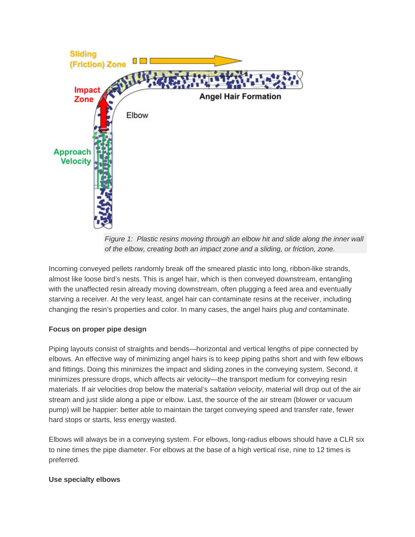

*Figure 1: Plastic resins moving through an elbow hit and slide along the inner wall of the elbow, creating both an impact zone and a sliding, or friction, zone.*

Incoming conveyed pellets randomly break off the smeared plastic into long, ribbon-like strands, almost like loose bird's nests. This is angel hair, which is then conveyed downstream, entangling with the unaffected resin already moving downstream, often plugging a feed area and eventually starving a receiver. At the very least, angel hair can contaminate resins at the receiver, including changing the resin's properties and color. In many cases, the angel hairs plug *and* contaminate.

## **Focus on proper pipe design**

Piping layouts consist of straights and bends—horizontal and vertical lengths of pipe connected by elbows. An effective way of minimizing angel hairs is to keep piping paths short and with few elbows and fittings. Doing this minimizes the impact and sliding zones in the conveying system. Second, it minimizes pressure drops, which affects air velocity—the transport medium for conveying resin materials. If air velocities drop below the material's *saltation velocity*, material will drop out of the air stream and just slide along a pipe or elbow. Last, the source of the air stream (blower or vacuum pump) will be happier: better able to maintain the target conveying speed and transfer rate, fewer hard stops or starts, less energy wasted.

Elbows will always be in a conveying system. For elbows, long-radius elbows should have a CLR six to nine times the pipe diameter. For elbows at the base of a high vertical rise, nine to 12 times is preferred.

#### **Use specialty elbows**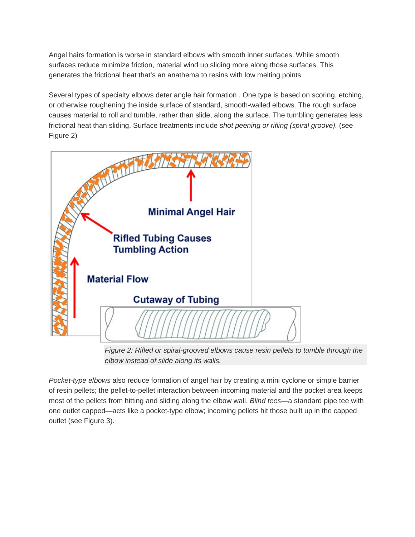Angel hairs formation is worse in standard elbows with smooth inner surfaces. While smooth surfaces reduce minimize friction, material wind up sliding more along those surfaces. This generates the frictional heat that's an anathema to resins with low melting points.

Several types of specialty elbows deter angle hair formation . One type is based on scoring, etching, or otherwise roughening the inside surface of standard, smooth-walled elbows. The rough surface causes material to roll and tumble, rather than slide, along the surface. The tumbling generates less frictional heat than sliding. Surface treatments include *shot peening or rifling (spiral groove).* (see Figure 2)



*Figure 2: Rifled or spiral-grooved elbows cause resin pellets to tumble through the elbow instead of slide along its walls.*

*Pocket-type elbows* also reduce formation of angel hair by creating a mini cyclone or simple barrier of resin pellets; the pellet-to-pellet interaction between incoming material and the pocket area keeps most of the pellets from hitting and sliding along the elbow wall. *Blind tees*—a standard pipe tee with one outlet capped—acts like a pocket-type elbow; incoming pellets hit those built up in the capped outlet (see Figure 3).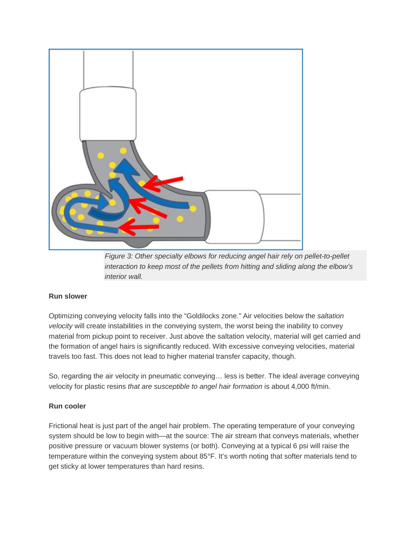

*Figure 3: Other specialty elbows for reducing angel hair rely on pellet-to-pellet interaction to keep most of the pellets from hitting and sliding along the elbow's interior wall.*

## **Run slower**

Optimizing conveying velocity falls into the "Goldilocks zone." Air velocities below the *saltation velocity* will create instabilities in the conveying system, the worst being the inability to convey material from pickup point to receiver. Just above the saltation velocity, material will get carried and the formation of angel hairs is significantly reduced. With excessive conveying velocities, material travels too fast. This does not lead to higher material transfer capacity, though.

So, regarding the air velocity in pneumatic conveying… less is better. The ideal average conveying velocity for plastic resins *that are susceptible to angel hair formation* is about 4,000 ft/min.

#### **Run cooler**

Frictional heat is just part of the angel hair problem. The operating temperature of your conveying system should be low to begin with—at the source: The air stream that conveys materials, whether positive pressure or vacuum blower systems (or both). Conveying at a typical 6 psi will raise the temperature within the conveying system about 85°F. It's worth noting that softer materials tend to get sticky at lower temperatures than hard resins.